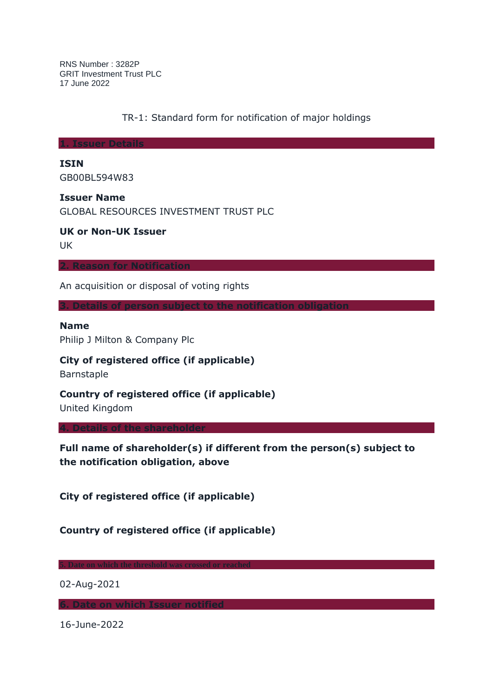RNS Number : 3282P GRIT Investment Trust PLC 17 June 2022

TR-1: Standard form for notification of major holdings

**1. Issuer Details**

**ISIN**

GB00BL594W83

**Issuer Name**

GLOBAL RESOURCES INVESTMENT TRUST PLC

**UK or Non-UK Issuer**

UK

**2. Reason for Notification**

An acquisition or disposal of voting rights

**3. Details of person subject to the notification obligation**

**Name**

Philip J Milton & Company Plc

**City of registered office (if applicable)**

Barnstaple

**Country of registered office (if applicable)**

United Kingdom

**4. Details of the shareholder**

**Full name of shareholder(s) if different from the person(s) subject to the notification obligation, above**

**City of registered office (if applicable)**

**Country of registered office (if applicable)**

**5. Date on which the threshold was crossed or reached**

02-Aug-2021

**6. Date on which Issuer notified**

16-June-2022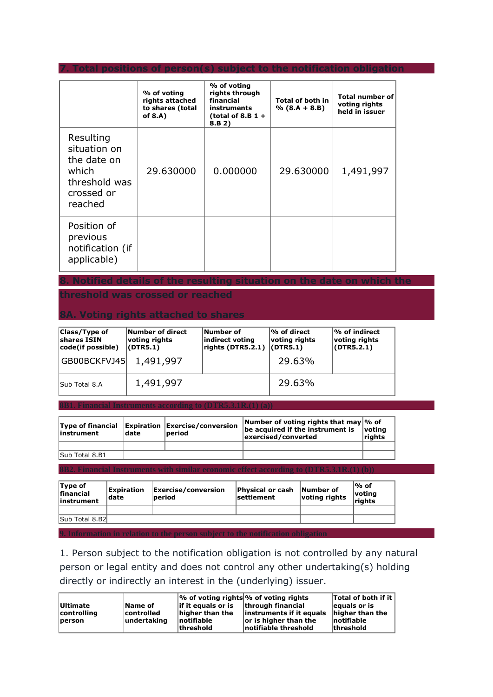**7. Total positions of person(s) subject to the notification obligation**

|                                                                                             | % of voting<br>rights attached<br>to shares (total<br>of 8.A) | % of voting<br>rights through<br>financial<br><b>instruments</b><br>(total of 8.B $1 +$<br>8.B 2) | <b>Total of both in</b><br>$% (8.A + 8.B)$ | <b>Total number of</b><br>voting rights<br>held in issuer |
|---------------------------------------------------------------------------------------------|---------------------------------------------------------------|---------------------------------------------------------------------------------------------------|--------------------------------------------|-----------------------------------------------------------|
| Resulting<br>situation on<br>the date on<br>which<br>threshold was<br>crossed or<br>reached | 29.630000                                                     | 0.000000                                                                                          | 29,630000                                  | 1,491,997                                                 |
| Position of<br>previous<br>notification (if<br>applicable)                                  |                                                               |                                                                                                   |                                            |                                                           |

**8. Notified details of the resulting situation on the date on which the** 

**threshold was crossed or reached**

## **8A. Voting rights attached to shares**

| <b>Class/Type of</b><br>shares ISIN<br> code(if possible) | Number of direct<br>voting rights<br>(DTR5.1) | Number of<br>indirect voting<br>rights (DTR5.2.1) | $\bm{\%}$ of direct<br>voting rights<br>$ $ (DTR5.1) | $\frac{1}{6}$ of indirect<br>voting rights<br>(DTR5.2.1) |
|-----------------------------------------------------------|-----------------------------------------------|---------------------------------------------------|------------------------------------------------------|----------------------------------------------------------|
| GB00BCKFVJ45  1,491,997                                   |                                               |                                                   | 29.63%                                               |                                                          |
| Sub Total 8.A                                             | 1,491,997                                     |                                                   | 29.63%                                               |                                                          |

**8B1. Financial Instruments according to (DTR5.3.1R.(1) (a))**

| linstrument    | date | Type of financial Expiration Exercise/conversion<br>lperiod | Number of voting rights that may $\%$ of<br>be acquired if the instrument is<br>exercised/converted | $\bm{\mathsf{v}otinq}$<br><b>Trights</b> |
|----------------|------|-------------------------------------------------------------|-----------------------------------------------------------------------------------------------------|------------------------------------------|
|                |      |                                                             |                                                                                                     |                                          |
| Sub Total 8.B1 |      |                                                             |                                                                                                     |                                          |

**8B2. Financial Instruments with similar economic effect according to (DTR5.3.1R.(1) (b))**

| Type of<br>financial<br>linstrument | Expiration<br> date | Exercise/conversion<br>period | Physical or cash<br> settlement | Number of<br>voting rights | ∣% of<br> voting<br>riahts |
|-------------------------------------|---------------------|-------------------------------|---------------------------------|----------------------------|----------------------------|
|                                     |                     |                               |                                 |                            |                            |
| Sub Total 8.B2l                     |                     |                               |                                 |                            |                            |
|                                     |                     |                               |                                 |                            |                            |

**9. Information in relation to the person subject to the notification obligation**

1. Person subject to the notification obligation is not controlled by any natural person or legal entity and does not control any other undertaking(s) holding directly or indirectly an interest in the (underlying) issuer.